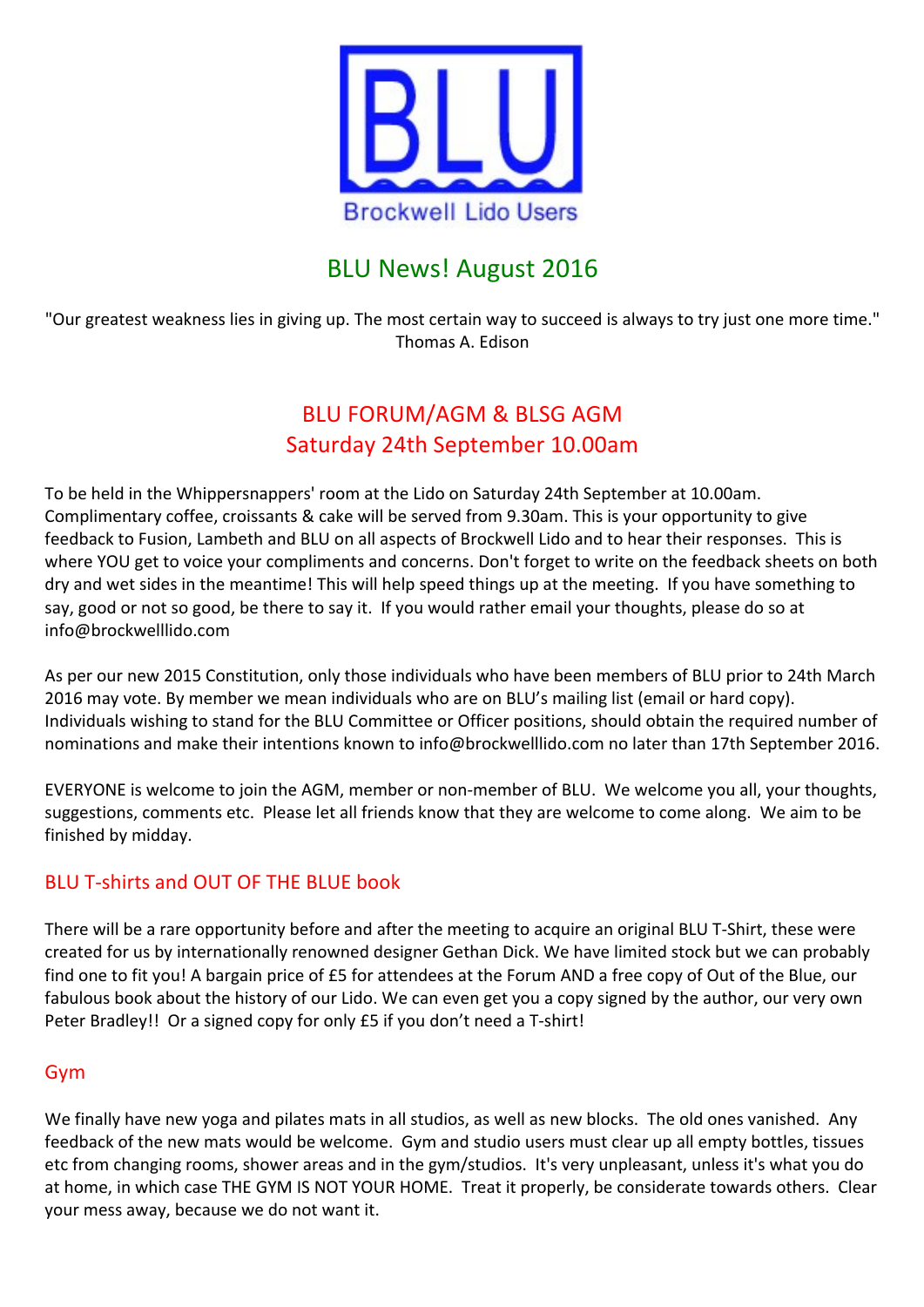

# **BLU News! August 2016**

"Our greatest weakness lies in giving up. The most certain way to succeed is always to try just one more time." Thomas A. Edison

# BLU FORUM/AGM & BLSG AGM Saturday 24th September 10.00am

To be held in the Whippersnappers' room at the Lido on Saturday 24th September at 10.00am. Complimentary coffee, croissants & cake will be served from 9.30am. This is your opportunity to give feedback to Fusion, Lambeth and BLU on all aspects of Brockwell Lido and to hear their responses. This is where YOU get to voice your compliments and concerns. Don't forget to write on the feedback sheets on both dry and wet sides in the meantime! This will help speed things up at the meeting. If you have something to say, good or not so good, be there to say it. If you would rather email your thoughts, please do so at info@brockwelllido.com

As per our new 2015 Constitution, only those individuals who have been members of BLU prior to 24th March 2016 may vote. By member we mean individuals who are on BLU's mailing list (email or hard copy). Individuals wishing to stand for the BLU Committee or Officer positions, should obtain the required number of nominations and make their intentions known to info@brockwelllido.com no later than 17th September 2016.

EVERYONE is welcome to join the AGM, member or non-member of BLU. We welcome you all, your thoughts, suggestions, comments etc. Please let all friends know that they are welcome to come along. We aim to be finished by midday.

## BLU T-shirts and OUT OF THE BLUE book

There will be a rare opportunity before and after the meeting to acquire an original BLU T-Shirt, these were created for us by internationally renowned designer Gethan Dick. We have limited stock but we can probably find one to fit you! A bargain price of £5 for attendees at the Forum AND a free copy of Out of the Blue, our fabulous book about the history of our Lido. We can even get you a copy signed by the author, our very own Peter Bradley!! Or a signed copy for only £5 if you don't need a T-shirt!

## Gym

We finally have new yoga and pilates mats in all studios, as well as new blocks. The old ones vanished. Any feedback of the new mats would be welcome. Gym and studio users must clear up all empty bottles, tissues etc from changing rooms, shower areas and in the gym/studios. It's very unpleasant, unless it's what you do at home, in which case THE GYM IS NOT YOUR HOME. Treat it properly, be considerate towards others. Clear your mess away, because we do not want it.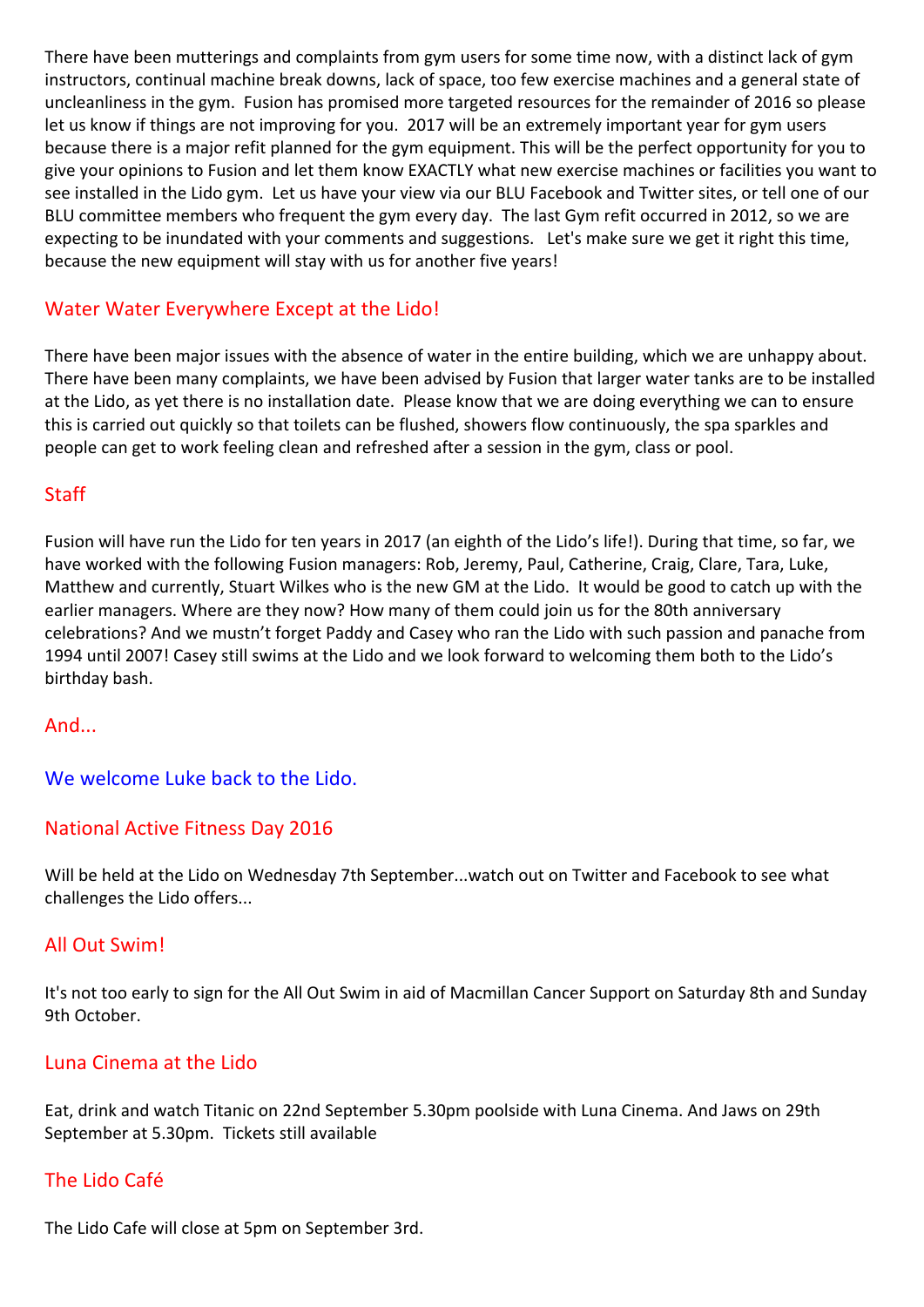There have been mutterings and complaints from gym users for some time now, with a distinct lack of gym instructors, continual machine break downs, lack of space, too few exercise machines and a general state of uncleanliness in the gym. Fusion has promised more targeted resources for the remainder of 2016 so please let us know if things are not improving for you. 2017 will be an extremely important year for gym users because there is a major refit planned for the gym equipment. This will be the perfect opportunity for you to give your opinions to Fusion and let them know EXACTLY what new exercise machines or facilities you want to see installed in the Lido gym. Let us have your view via our BLU Facebook and Twitter sites, or tell one of our BLU committee members who frequent the gym every day. The last Gym refit occurred in 2012, so we are expecting to be inundated with your comments and suggestions. Let's make sure we get it right this time, because the new equipment will stay with us for another five years!

## Water Water Everywhere Except at the Lido!

There have been major issues with the absence of water in the entire building, which we are unhappy about. There have been many complaints, we have been advised by Fusion that larger water tanks are to be installed at the Lido, as yet there is no installation date. Please know that we are doing everything we can to ensure this is carried out quickly so that toilets can be flushed, showers flow continuously, the spa sparkles and people can get to work feeling clean and refreshed after a session in the gym, class or pool.

## **Staff**

Fusion will have run the Lido for ten years in 2017 (an eighth of the Lido's life!). During that time, so far, we have worked with the following Fusion managers: Rob, Jeremy, Paul, Catherine, Craig, Clare, Tara, Luke, Matthew and currently, Stuart Wilkes who is the new GM at the Lido. It would be good to catch up with the earlier managers. Where are they now? How many of them could join us for the 80th anniversary celebrations? And we mustn't forget Paddy and Casey who ran the Lido with such passion and panache from 1994 until 2007! Casey still swims at the Lido and we look forward to welcoming them both to the Lido's birthday bash.

## And...

We welcome Luke back to the Lido.

## National Active Fitness Day 2016

Will be held at the Lido on Wednesday 7th September...watch out on Twitter and Facebook to see what challenges the Lido offers...

## **All Out Swim!**

It's not too early to sign for the All Out Swim in aid of Macmillan Cancer Support on Saturday 8th and Sunday 9th October.

## Luna Cinema at the Lido

Eat, drink and watch Titanic on 22nd September 5.30pm poolside with Luna Cinema. And Jaws on 29th September at 5.30pm. Tickets still available

## The Lido Café

The Lido Cafe will close at 5pm on September 3rd.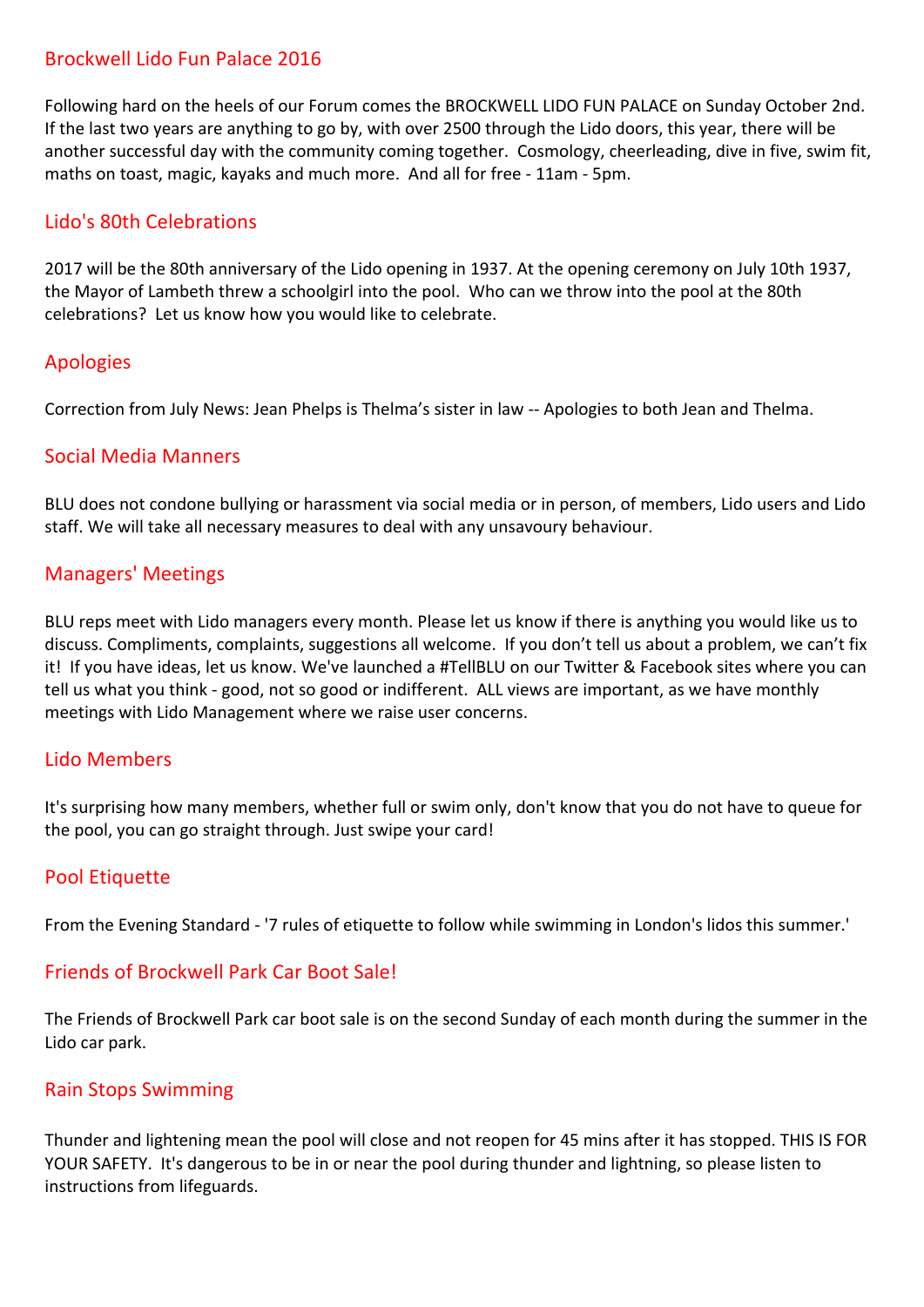## Brockwell Lido Fun Palace 2016

Following hard on the heels of our Forum comes the BROCKWELL LIDO FUN PALACE on Sunday October 2nd. If the last two years are anything to go by, with over 2500 through the Lido doors, this year, there will be another successful day with the community coming together. Cosmology, cheerleading, dive in five, swim fit, maths on toast, magic, kayaks and much more. And all for free - 11am - 5pm.

## Lido's 80th Celebrations

2017 will be the 80th anniversary of the Lido opening in 1937. At the opening ceremony on July 10th 1937, the Mayor of Lambeth threw a schoolgirl into the pool. Who can we throw into the pool at the 80th celebrations? Let us know how you would like to celebrate.

## Apologies

Correction from July News: Jean Phelps is Thelma's sister in law -- Apologies to both Jean and Thelma.

## Social Media Manners

BLU does not condone bullying or harassment via social media or in person, of members, Lido users and Lido staff. We will take all necessary measures to deal with any unsavoury behaviour.

## Managers' Meetings

BLU reps meet with Lido managers every month. Please let us know if there is anything you would like us to discuss. Compliments, complaints, suggestions all welcome. If you don't tell us about a problem, we can't fix it! If you have ideas, let us know. We've launched a #TellBLU on our Twitter & Facebook sites where you can tell us what you think - good, not so good or indifferent. ALL views are important, as we have monthly meetings with Lido Management where we raise user concerns.

## Lido Members

It's surprising how many members, whether full or swim only, don't know that you do not have to queue for the pool, you can go straight through. Just swipe your card!

## Pool Etiquette

From the Evening Standard - '7 rules of etiquette to follow while swimming in London's lidos this summer.'

## Friends of Brockwell Park Car Boot Sale!

The Friends of Brockwell Park car boot sale is on the second Sunday of each month during the summer in the Lido car park.

#### Rain Stops Swimming

Thunder and lightening mean the pool will close and not reopen for 45 mins after it has stopped. THIS IS FOR YOUR SAFETY. It's dangerous to be in or near the pool during thunder and lightning, so please listen to instructions from lifeguards.